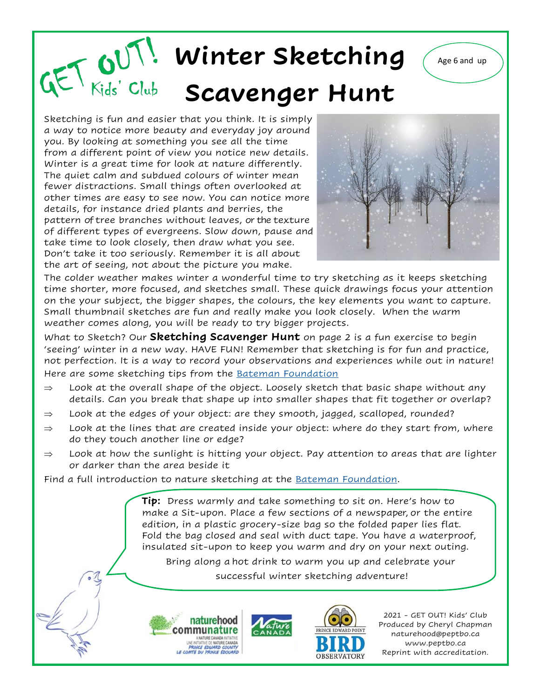## **Winter Sketching** (Age 6 and up **Scavenger Hunt**

Sketching is fun and easier that you think. It is simply a way to notice more beauty and everyday joy around you. By looking at something you see all the time from a different point of view you notice new details. Winter is a great time for look at nature differently. The quiet calm and subdued colours of winter mean fewer distractions. Small things often overlooked at other times are easy to see now. You can notice more details, for instance dried plants and berries, the pattern of tree branches without leaves, or the texture of different types of evergreens. Slow down, pause and take time to look closely, then draw what you see. Don't take it too seriously. Remember it is all about the art of seeing, not about the picture you make.



The colder weather makes winter a wonderful time to try sketching as it keeps sketching time shorter, more focused, and sketches small. These quick drawings focus your attention on the your subject, the bigger shapes, the colours, the key elements you want to capture. Small thumbnail sketches are fun and really make you look closely. When the warm weather comes along, you will be ready to try bigger projects.

What to Sketch? Our **Sketching Scavenger Hunt** on page 2 is a fun exercise to begin 'seeing' winter in a new way. HAVE FUN! Remember that sketching is for fun and practice, not perfection. It is a way to record your observations and experiences while out in nature! Here are some sketching tips from the **Bateman Foundation** 

- $\Rightarrow$  Look at the overall shape of the object. Loosely sketch that basic shape without any details. Can you break that shape up into smaller shapes that fit together or overlap?
- $\Rightarrow$  Look at the edges of your object: are they smooth, jagged, scalloped, rounded?
- $\Rightarrow$  Look at the lines that are created inside your object: where do they start from, where do they touch another line or edge?
- $\Rightarrow$  Look at how the sunlight is hitting your object. Pay attention to areas that are lighter or darker than the area beside it

Find a full introduction to nature sketching at the [Bateman Foundation.](https://batemanfoundation.org/wp-content/uploads/2020/12/Intro_to_Nature-Sketch_English.pdf)

**Tip:** Dress warmly and take something to sit on. Here's how to make a Sit-upon. Place a few sections of a newspaper, or the entire edition, in a plastic grocery-size bag so the folded paper lies flat. Fold the bag closed and seal with duct tape. You have a waterproof, insulated sit-upon to keep you warm and dry on your next outing.

Bring along a hot drink to warm you up and celebrate your successful winter sketching adventure!







2021 - GET OUT! Kids' Club Produced by Cheryl Chapman naturehood@peptbo.ca www.peptbo.ca Reprint with accreditation.